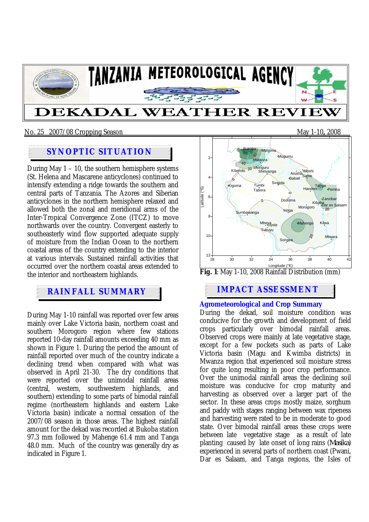

### No. 25 2007/08 Cropping Season May 1-10**,** 2008

# **SYNOPTIC SITUATION**

During May  $1 - 10$ , the southern hemisphere systems (St. Helena and Mascarene anticyclones) continued to intensify extending a ridge towards the southern and central parts of Tanzania. The Azores and Siberian anticyclones in the northern hemisphere relaxed and allowed both the zonal and meridional arms of the Inter-Tropical Convergence Zone (ITCZ) to move northwards over the country. Convergent easterly to southeasterly wind flow supported adequate supply of moisture from the Indian Ocean to the northern coastal areas of the country extending to the interior at various intervals. Sustained rainfall activities that occurred over the northern coastal areas extended to the interior and northeastern highlands.

During May 1-10 rainfall was reported over few areas mainly over Lake Victoria basin, northern coast and southern Morogoro region where few stations reported 10-day rainfall amounts exceeding 40 mm as shown in Figure 1. During the period the amount of rainfall reported over much of the country indicate a declining trend when compared with what was observed in April 21-30. The dry conditions that were reported over the unimodal rainfall areas (central, western, southwestern highlands, and southern) extending to some parts of bimodal rainfall regime (northeastern highlands and eastern Lake Victoria basin) indicate a normal cessation of the 2007/08 season in those areas. The highest rainfall amount for the dekad was recorded at Bukoba station 97.3 mm followed by Mahenge 61.4 mm and Tanga 48.0 mm. Much of the country was generally dry as indicated in Figure 1.





## **RAINFALL SUMMARY IMPACT ASSESSMENT**

#### **Agrometeorological and Crop Summary**

During the dekad, soil moisture condition was conducive for the growth and development of field crops particularly over bimodal rainfall areas. Observed crops were mainly at late vegetative stage, except for a few pockets such as parts of Lake Victoria basin (Magu and Kwimba districts) in Mwanza region that experienced soil moisture stress for quite long resulting in poor crop performance. Over the unimodal rainfall areas the declining soil moisture was conducive for crop maturity and harvesting as observed over a larger part of the sector. In these areas crops mostly maize, sorghum and paddy with stages ranging between wax ripeness and harvesting were rated to be in moderate to good state. Over bimodal rainfall areas these crops were between late vegetative stage as a result of late planting caused by late onset of long rains (*Masika*) experienced in several parts of northern coast (Pwani, Dar es Salaam, and Tanga regions, the Isles of